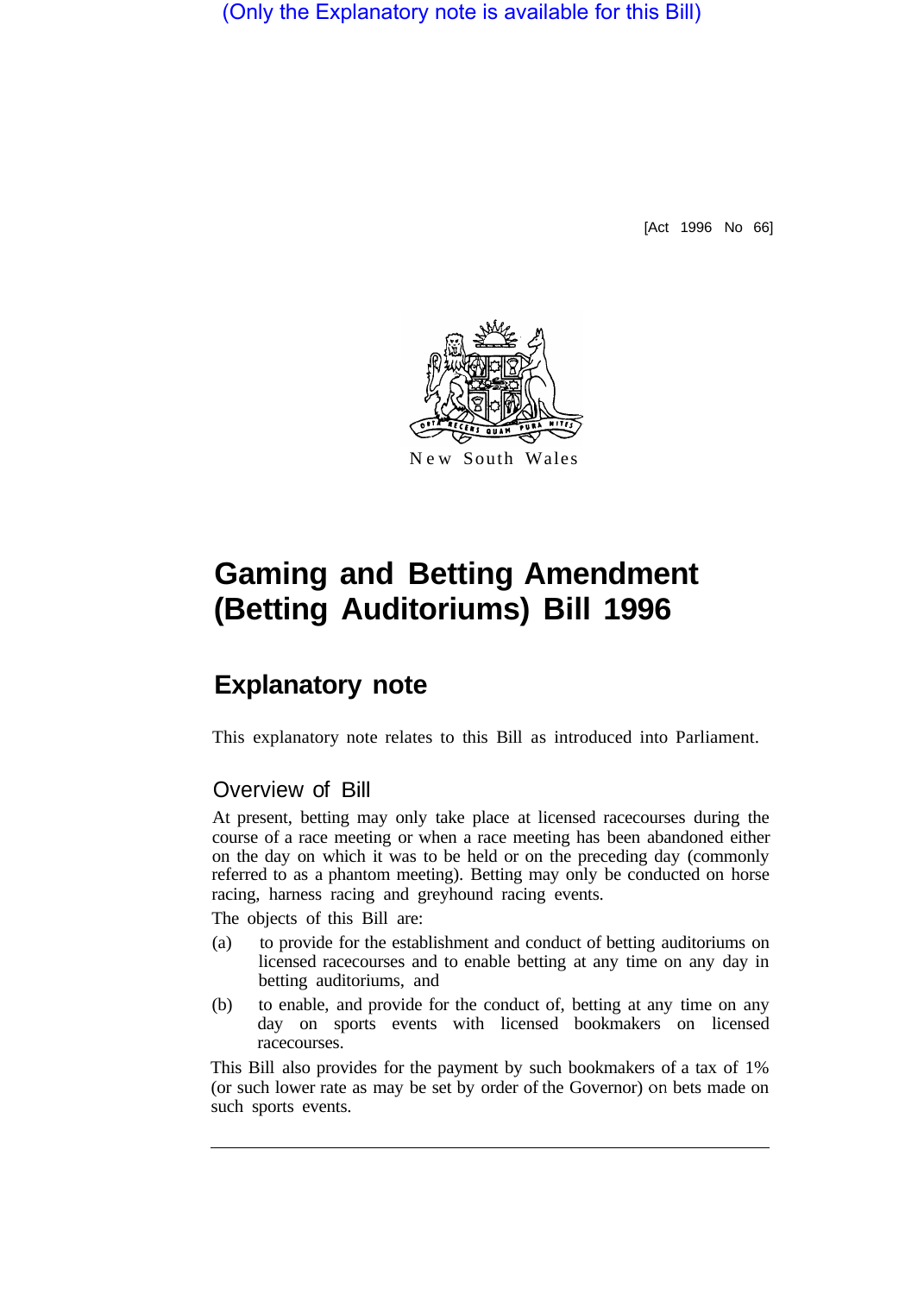(Only the Explanatory note is available for this Bill)

[Act 1996 No 66]



#### New South Wales

# **Gaming and Betting Amendment (Betting Auditoriums) Bill 1996**

# **Explanatory note**

This explanatory note relates to this Bill as introduced into Parliament.

### Overview of Bill

At present, betting may only take place at licensed racecourses during the course of a race meeting or when a race meeting has been abandoned either on the day on which it was to be held or on the preceding day (commonly referred to as a phantom meeting). Betting may only be conducted on horse racing, harness racing and greyhound racing events.

The objects of this Bill are:

- (a) to provide for the establishment and conduct of betting auditoriums on licensed racecourses and to enable betting at any time on any day in betting auditoriums, and
- (b) to enable, and provide for the conduct of, betting at any time on any day on sports events with licensed bookmakers on licensed racecourses.

This Bill also provides for the payment by such bookmakers of a tax of 1% (or such lower rate as may be set by order of the Governor) on bets made on such sports events.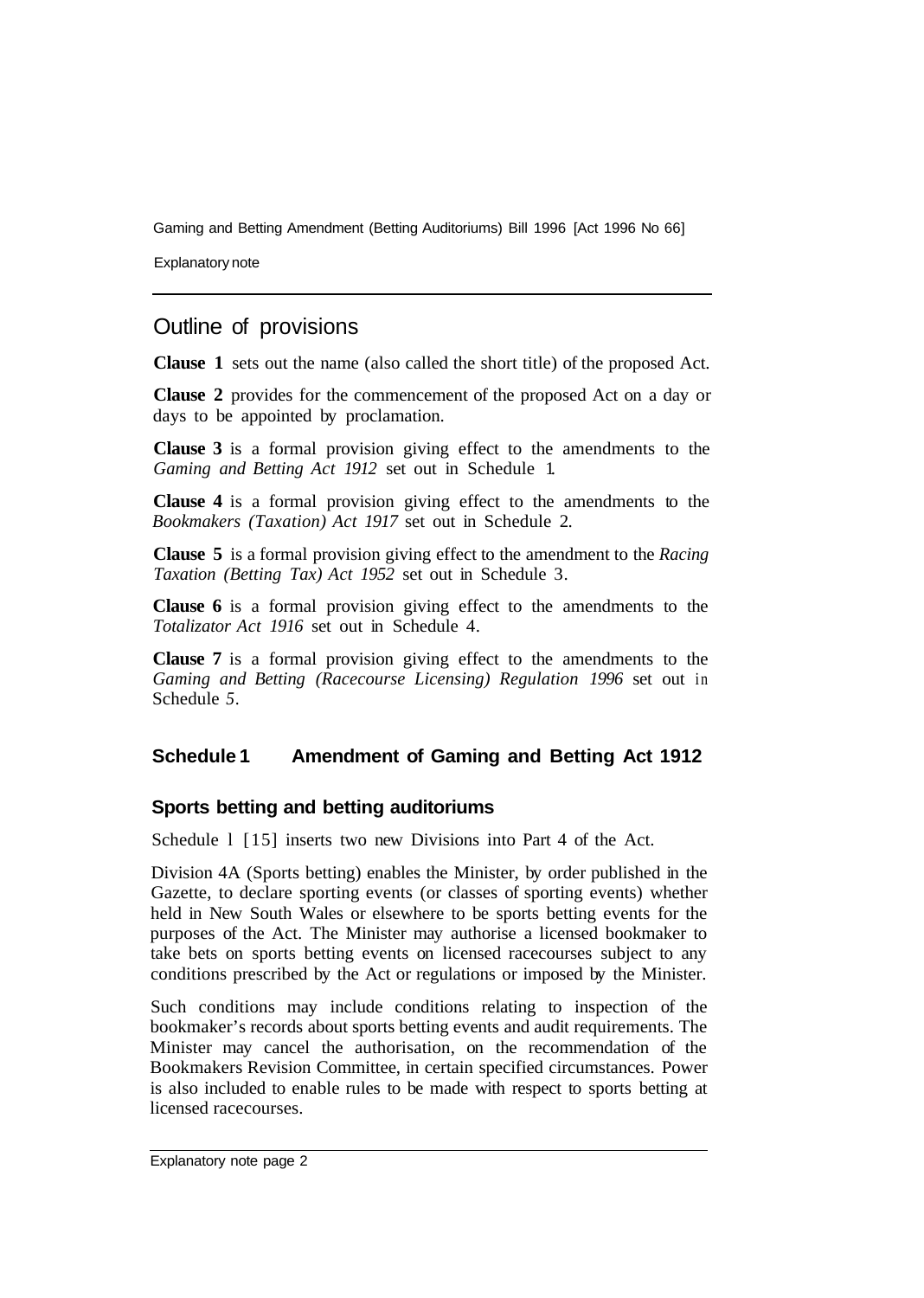Explanatory note

## Outline of provisions

**Clause 1** sets out the name (also called the short title) of the proposed Act.

**Clause 2** provides for the commencement of the proposed Act on a day or days to be appointed by proclamation.

**Clause 3** is a formal provision giving effect to the amendments to the *Gaming and Betting Act 1912* set out in Schedule 1.

**Clause 4** is a formal provision giving effect to the amendments to the *Bookmakers (Taxation) Act 1917* set out in Schedule 2.

**Clause 5** is a formal provision giving effect to the amendment to the *Racing Taxation (Betting Tax) Act 1952* set out in Schedule 3.

**Clause 6** is a formal provision giving effect to the amendments to the *Totalizator Act 1916* set out in Schedule 4.

**Clause 7** is a formal provision giving effect to the amendments to the *Gaming and Betting (Racecourse Licensing) Regulation 1996* set out in Schedule *5.* 

#### **Schedule 1 Amendment of Gaming and Betting Act 1912**

#### **Sports betting and betting auditoriums**

Schedule 1 [15] inserts two new Divisions into Part 4 of the Act.

Division 4A (Sports betting) enables the Minister, by order published in the Gazette, to declare sporting events (or classes of sporting events) whether held in New South Wales or elsewhere to be sports betting events for the purposes of the Act. The Minister may authorise a licensed bookmaker to take bets on sports betting events on licensed racecourses subject to any conditions prescribed by the Act or regulations or imposed by the Minister.

Such conditions may include conditions relating to inspection of the bookmaker's records about sports betting events and audit requirements. The Minister may cancel the authorisation, on the recommendation of the Bookmakers Revision Committee, in certain specified circumstances. Power is also included to enable rules to be made with respect to sports betting at licensed racecourses.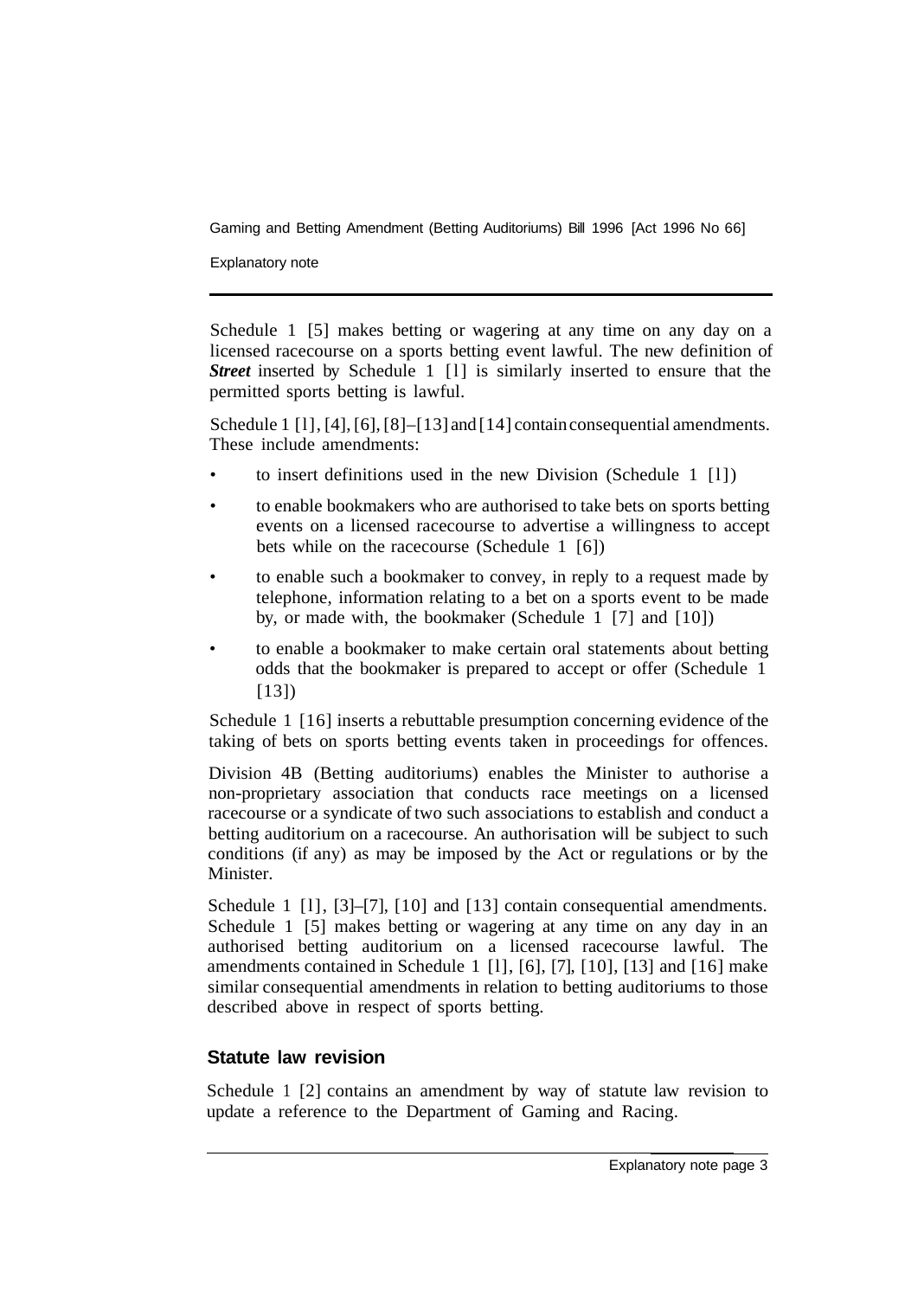Explanatory note

Schedule 1 [5] makes betting or wagering at any time on any day on a licensed racecourse on a sports betting event lawful. The new definition of *Street* inserted by Schedule 1 [1] is similarly inserted to ensure that the permitted sports betting is lawful.

Schedule 1 [1], [4], [6], [8]–[13] and [14] contain consequential amendments. These include amendments:

- to insert definitions used in the new Division (Schedule  $1 \quad [1]$ )
- to enable bookmakers who are authorised to take bets on sports betting events on a licensed racecourse to advertise a willingness to accept bets while on the racecourse (Schedule 1 [6])
- to enable such a bookmaker to convey, in reply to a request made by telephone, information relating to a bet on a sports event to be made by, or made with, the bookmaker (Schedule 1 [7] and [10])
- to enable a bookmaker to make certain oral statements about betting odds that the bookmaker is prepared to accept or offer (Schedule 1 [13])

Schedule 1 [16] inserts a rebuttable presumption concerning evidence of the taking of bets on sports betting events taken in proceedings for offences.

Division 4B (Betting auditoriums) enables the Minister to authorise a non-proprietary association that conducts race meetings on a licensed racecourse or a syndicate of two such associations to establish and conduct a betting auditorium on a racecourse. An authorisation will be subject to such conditions (if any) as may be imposed by the Act or regulations or by the Minister.

Schedule 1 [1], [3]–[7], [10] and [13] contain consequential amendments. Schedule 1 [5] makes betting or wagering at any time on any day in an authorised betting auditorium on a licensed racecourse lawful. The amendments contained in Schedule 1 [l], [6], [7], [10], [13] and [16] make similar consequential amendments in relation to betting auditoriums to those described above in respect of sports betting.

#### **Statute law revision**

Schedule 1 [2] contains an amendment by way of statute law revision to update a reference to the Department of Gaming and Racing.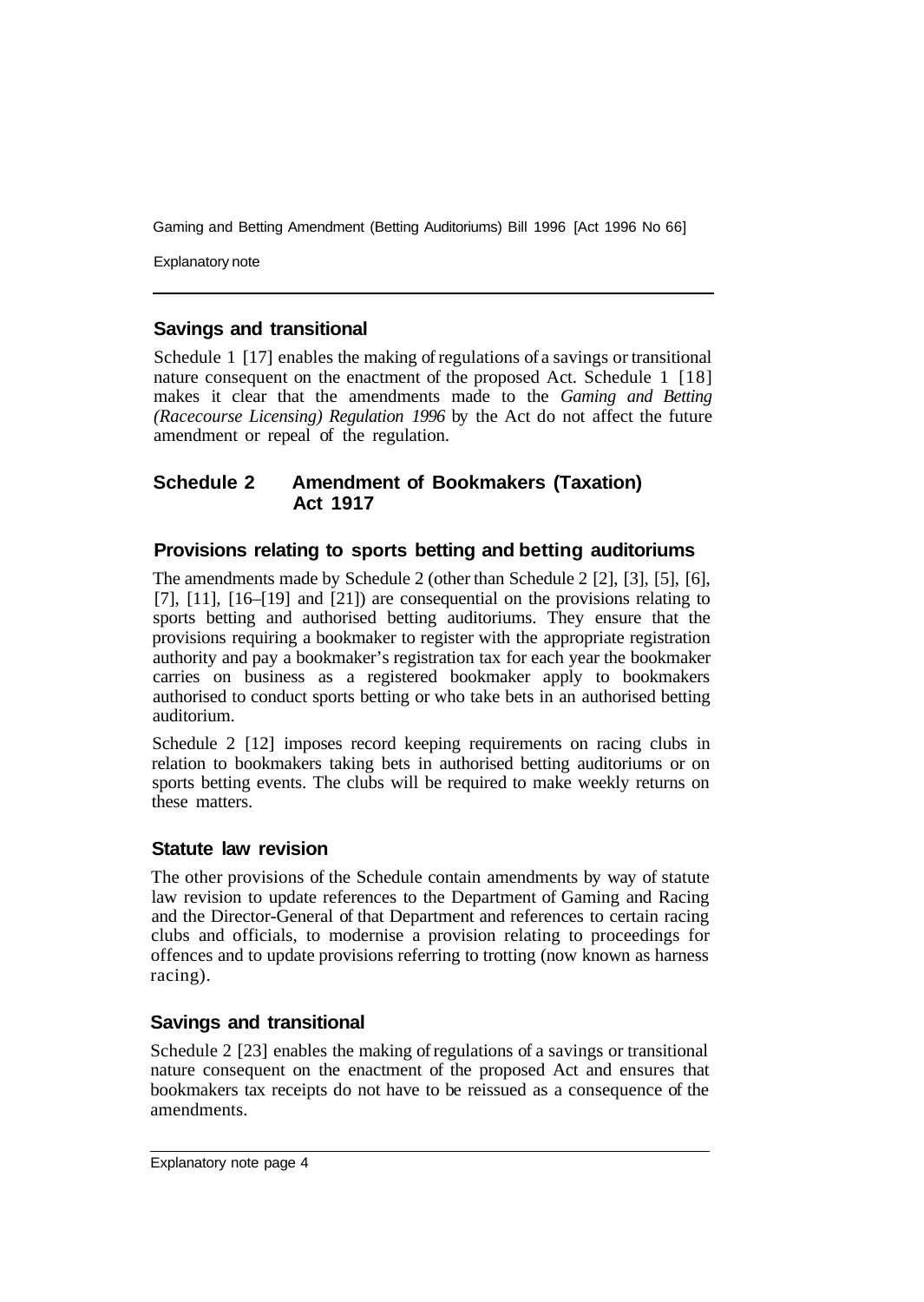Explanatory note

#### **Savings and transitional**

Schedule 1 [17] enables the making of regulations of a savings or transitional nature consequent on the enactment of the proposed Act. Schedule 1 [18] makes it clear that the amendments made to the *Gaming and Betting (Racecourse Licensing) Regulation 1996* by the Act do not affect the future amendment or repeal of the regulation.

#### **Schedule 2 Amendment of Bookmakers (Taxation) Act 1917**

#### **Provisions relating to sports betting and betting auditoriums**

The amendments made by Schedule 2 (other than Schedule 2 [2], [3], [5], [6], [7], [11], [16–[19] and [21]) are consequential on the provisions relating to sports betting and authorised betting auditoriums. They ensure that the provisions requiring a bookmaker to register with the appropriate registration authority and pay a bookmaker's registration tax for each year the bookmaker carries on business as a registered bookmaker apply to bookmakers authorised to conduct sports betting or who take bets in an authorised betting auditorium.

Schedule 2 [12] imposes record keeping requirements on racing clubs in relation to bookmakers taking bets in authorised betting auditoriums or on sports betting events. The clubs will be required to make weekly returns on these matters.

#### **Statute law revision**

The other provisions of the Schedule contain amendments by way of statute law revision to update references to the Department of Gaming and Racing and the Director-General of that Department and references to certain racing clubs and officials, to modernise a provision relating to proceedings for offences and to update provisions referring to trotting (now known as harness racing).

#### **Savings and transitional**

Schedule 2 [23] enables the making of regulations of a savings or transitional nature consequent on the enactment of the proposed Act and ensures that bookmakers tax receipts do not have to be reissued as a consequence of the amendments.